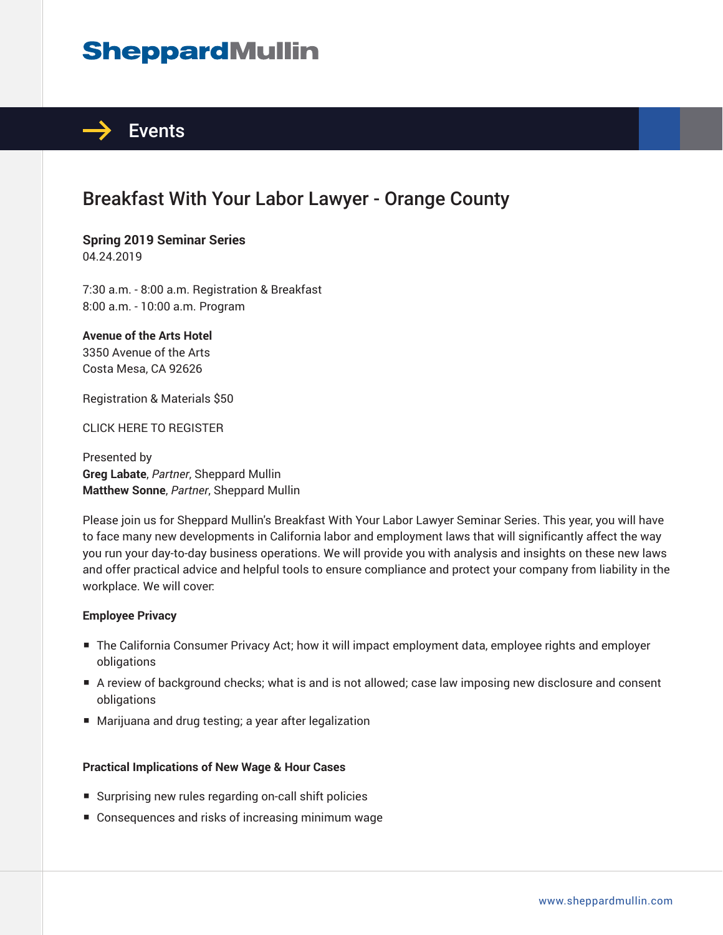# **SheppardMullin**



## Breakfast With Your Labor Lawyer - Orange County

**Spring 2019 Seminar Series** 04.24.2019

7:30 a.m. - 8:00 a.m. Registration & Breakfast 8:00 a.m. - 10:00 a.m. Program

**Avenue of the Arts Hotel** 3350 Avenue of the Arts Costa Mesa, CA 92626

Registration & Materials \$50

CLICK HERE TO REGISTER

Presented by **Greg Labate**, *Partner*, Sheppard Mullin **Matthew Sonne**, *Partner*, Sheppard Mullin

Please join us for Sheppard Mullin's Breakfast With Your Labor Lawyer Seminar Series. This year, you will have to face many new developments in California labor and employment laws that will significantly affect the way you run your day-to-day business operations. We will provide you with analysis and insights on these new laws and offer practical advice and helpful tools to ensure compliance and protect your company from liability in the workplace. We will cover:

#### **Employee Privacy**

- The California Consumer Privacy Act; how it will impact employment data, employee rights and employer obligations
- A review of background checks; what is and is not allowed; case law imposing new disclosure and consent obligations
- Marijuana and drug testing; a year after legalization

#### **Practical Implications of New Wage & Hour Cases**

- Surprising new rules regarding on-call shift policies
- Consequences and risks of increasing minimum wage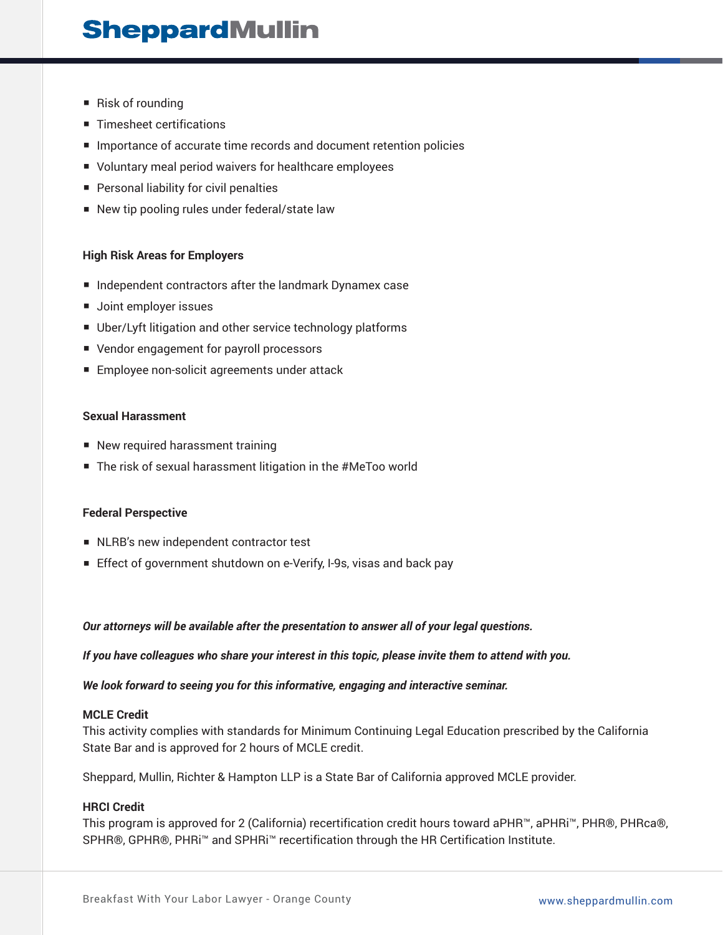## **SheppardMullin**

- Risk of rounding
- Timesheet certifications
- Importance of accurate time records and document retention policies
- Voluntary meal period waivers for healthcare employees
- Personal liability for civil penalties
- New tip pooling rules under federal/state law

#### **High Risk Areas for Employers**

- Independent contractors after the landmark Dynamex case
- Joint employer issues
- Uber/Lyft litigation and other service technology platforms
- Vendor engagement for payroll processors
- Employee non-solicit agreements under attack

#### **Sexual Harassment**

- New required harassment training
- The risk of sexual harassment litigation in the #MeToo world

#### **Federal Perspective**

- NLRB's new independent contractor test
- Effect of government shutdown on e-Verify, I-9s, visas and back pay

*Our attorneys will be available after the presentation to answer all of your legal questions.*

*If you have colleagues who share your interest in this topic, please invite them to attend with you.*

*We look forward to seeing you for this informative, engaging and interactive seminar.*

#### **MCLE Credit**

This activity complies with standards for Minimum Continuing Legal Education prescribed by the California State Bar and is approved for 2 hours of MCLE credit.

Sheppard, Mullin, Richter & Hampton LLP is a State Bar of California approved MCLE provider.

#### **HRCI Credit**

This program is approved for 2 (California) recertification credit hours toward aPHR™, aPHRi™, PHR®, PHRca®, SPHR®, GPHR®, PHRi™ and SPHRi™ recertification through the HR Certification Institute.